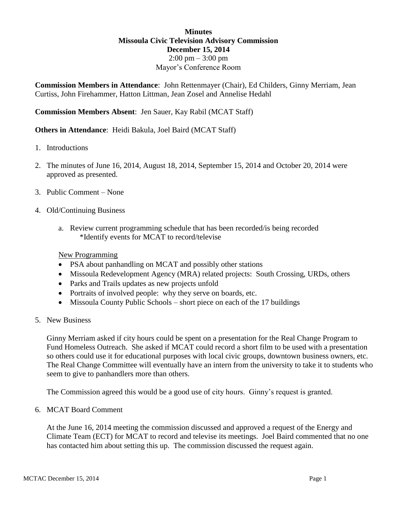## **Minutes Missoula Civic Television Advisory Commission December 15, 2014**  $2:00 \text{ pm} - 3:00 \text{ pm}$ Mayor's Conference Room

**Commission Members in Attendance**: John Rettenmayer (Chair), Ed Childers, Ginny Merriam, Jean Curtiss, John Firehammer, Hatton Littman, Jean Zosel and Annelise Hedahl

**Commission Members Absent**: Jen Sauer, Kay Rabil (MCAT Staff)

**Others in Attendance**: Heidi Bakula, Joel Baird (MCAT Staff)

- 1. Introductions
- 2. The minutes of June 16, 2014, August 18, 2014, September 15, 2014 and October 20, 2014 were approved as presented.
- 3. Public Comment None
- 4. Old/Continuing Business
	- a. Review current programming schedule that has been recorded/is being recorded \*Identify events for MCAT to record/televise

New Programming

- PSA about panhandling on MCAT and possibly other stations
- Missoula Redevelopment Agency (MRA) related projects: South Crossing, URDs, others
- Parks and Trails updates as new projects unfold
- Portraits of involved people: why they serve on boards, etc.
- Missoula County Public Schools short piece on each of the 17 buildings
- 5. New Business

Ginny Merriam asked if city hours could be spent on a presentation for the Real Change Program to Fund Homeless Outreach. She asked if MCAT could record a short film to be used with a presentation so others could use it for educational purposes with local civic groups, downtown business owners, etc. The Real Change Committee will eventually have an intern from the university to take it to students who seem to give to panhandlers more than others.

The Commission agreed this would be a good use of city hours. Ginny's request is granted.

6. MCAT Board Comment

At the June 16, 2014 meeting the commission discussed and approved a request of the Energy and Climate Team (ECT) for MCAT to record and televise its meetings. Joel Baird commented that no one has contacted him about setting this up. The commission discussed the request again.